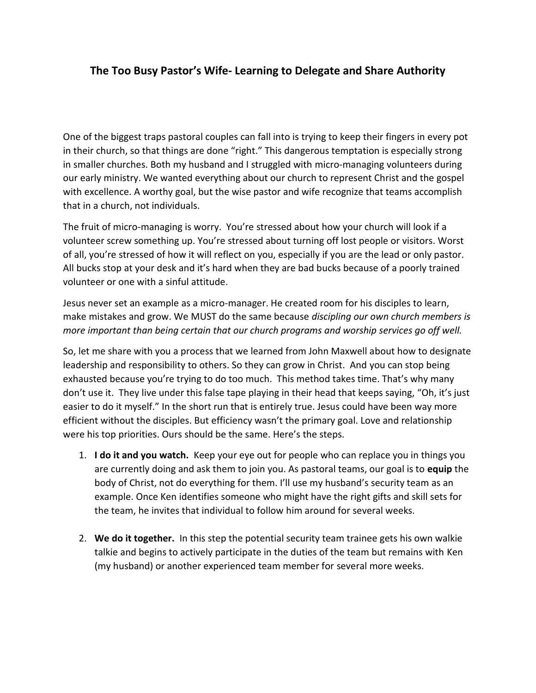## **The Too Busy Pastor's Wife- Learning to Delegate and Share Authority**

One of the biggest traps pastoral couples can fall into is trying to keep their fingers in every pot in their church, so that things are done "right." This dangerous temptation is especially strong in smaller churches. Both my husband and I struggled with micro-managing volunteers during our early ministry. We wanted everything about our church to represent Christ and the gospel with excellence. A worthy goal, but the wise pastor and wife recognize that teams accomplish that in a church, not individuals.

The fruit of micro-managing is worry. You're stressed about how your church will look if a volunteer screw something up. You're stressed about turning off lost people or visitors. Worst of all, you're stressed of how it will reflect on you, especially if you are the lead or only pastor. All bucks stop at your desk and it's hard when they are bad bucks because of a poorly trained volunteer or one with a sinful attitude.

Jesus never set an example as a micro-manager. He created room for his disciples to learn, make mistakes and grow. We MUST do the same because *discipling our own church members is more important than being certain that our church programs and worship services go off well.*

So, let me share with you a process that we learned from John Maxwell about how to designate leadership and responsibility to others. So they can grow in Christ. And you can stop being exhausted because you're trying to do too much. This method takes time. That's why many don't use it. They live under this false tape playing in their head that keeps saying, "Oh, it's just easier to do it myself." In the short run that is entirely true. Jesus could have been way more efficient without the disciples. But efficiency wasn't the primary goal. Love and relationship were his top priorities. Ours should be the same. Here's the steps.

- 1. **I do it and you watch.** Keep your eye out for people who can replace you in things you are currently doing and ask them to join you. As pastoral teams, our goal is to **equip** the body of Christ, not do everything for them. I'll use my husband's security team as an example. Once Ken identifies someone who might have the right gifts and skill sets for the team, he invites that individual to follow him around for several weeks.
- 2. **We do it together.** In this step the potential security team trainee gets his own walkie talkie and begins to actively participate in the duties of the team but remains with Ken (my husband) or another experienced team member for several more weeks.